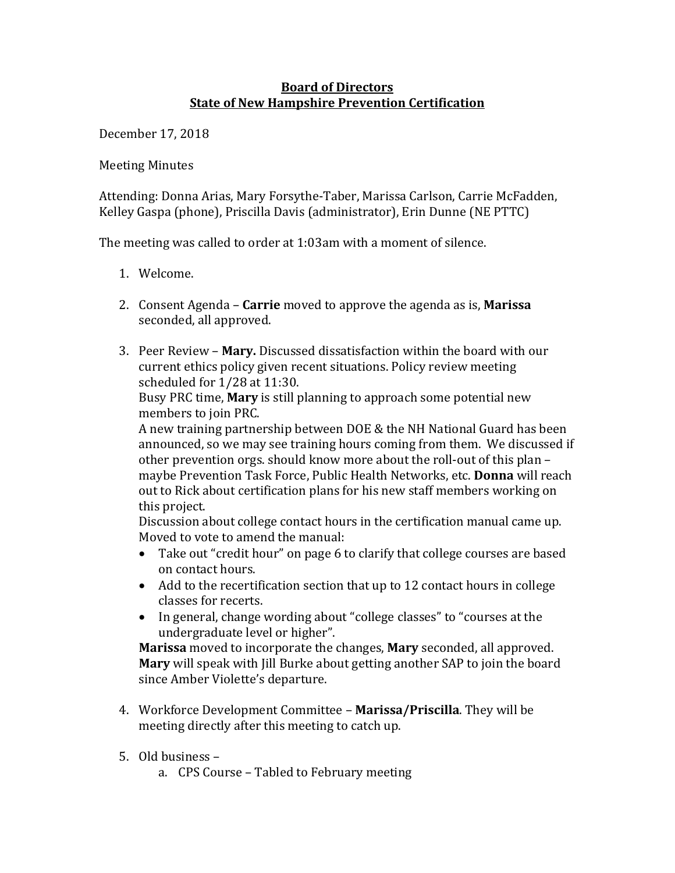## **Board of Directors State of New Hampshire Prevention Certification**

December 17, 2018

**Meeting Minutes** 

Attending: Donna Arias, Mary Forsythe-Taber, Marissa Carlson, Carrie McFadden, Kelley Gaspa (phone), Priscilla Davis (administrator), Erin Dunne (NE PTTC)

The meeting was called to order at  $1:03$ am with a moment of silence.

- 1. Welcome.
- 2. Consent Agenda **Carrie** moved to approve the agenda as is, **Marissa** seconded, all approved.
- 3. Peer Review **Mary.** Discussed dissatisfaction within the board with our current ethics policy given recent situations. Policy review meeting scheduled for  $1/28$  at  $11:30$ .

Busy PRC time, **Mary** is still planning to approach some potential new members to join PRC.

A new training partnership between DOE & the NH National Guard has been announced, so we may see training hours coming from them. We discussed if other prevention orgs. should know more about the roll-out of this plan maybe Prevention Task Force, Public Health Networks, etc. **Donna** will reach out to Rick about certification plans for his new staff members working on this project.

Discussion about college contact hours in the certification manual came up. Moved to vote to amend the manual:

- Take out "credit hour" on page 6 to clarify that college courses are based on contact hours.
- Add to the recertification section that up to 12 contact hours in college classes for recerts.
- In general, change wording about "college classes" to "courses at the undergraduate level or higher".

**Marissa** moved to incorporate the changes, **Mary** seconded, all approved. **Mary** will speak with Jill Burke about getting another SAP to join the board since Amber Violette's departure.

- 4. Workforce Development Committee **Marissa/Priscilla**. They will be meeting directly after this meeting to catch up.
- 5. Old business
	- a. CPS Course Tabled to February meeting